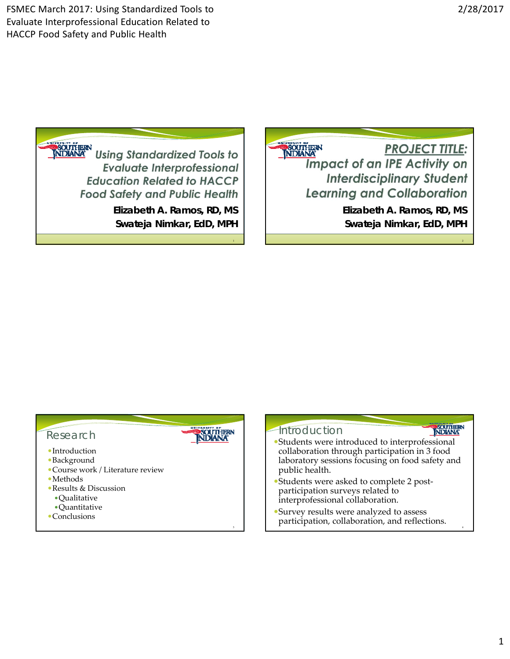FSMEC March 2017: Using Standardized Tools to Evaluate Interprofessional Education Related to HACCP Food Safety and Public Health

2

4

**ESOUTHERN** 

**Souther**<br>**NDANA** Using Standardized Tools to **Evaluate Interprofessional Education Related to HACCP Food Safety and Public Health** *Elizabeth A. Ramos, RD, MS Swateja Nimkar, EdD, MPH* **SOUTHERN PROJECT TITLE: Impact of an IPE Activity on Interdisciplinary Student Learning and Collaboration** *Elizabeth A. Ramos, RD, MS Swateja Nimkar, EdD, MPH*

#### Research

- Introduction
- Background
- Course work / Literature review
- Methods
- Results & Discussion
	- Qualitative
- Quantitative
- **Conclusions**

# **SOUTHERN**<br>NDIANA

1

# **Introduction**

- Students were introduced to interprofessional collaboration through participation in 3 food laboratory sessions focusing on food safety and public health.
- Students were asked to complete 2 post‐ participation surveys related to interprofessional collaboration.
- Survey results were analyzed to assess participation, collaboration, and reflections.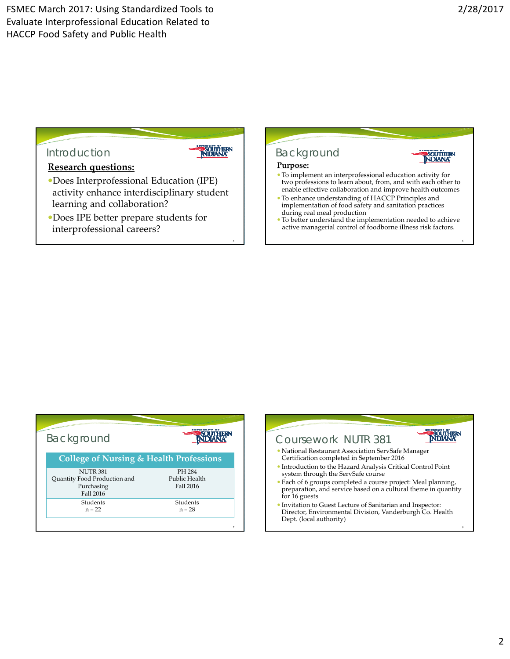**p**southern<br>NDIANA

# Introduction



5

### **Research questions:**

- Does Interprofessional Education (IPE) activity enhance interdisciplinary student learning and collaboration?
- Does IPE better prepare students for interprofessional careers?



#### **Purpose:**

- To implement an interprofessional education activity for two professions to learn about, from, and with each other to enable effective collaboration and improve health outcomes
- To enhance understanding of HACCP Principles and implementation of food safety and sanitation practices during real meal production
- To better understand the implementation needed to achieve active managerial control of foodborne illness risk factors.

| Background                                         | 1937          |
|----------------------------------------------------|---------------|
| <b>College of Nursing &amp; Health Professions</b> |               |
| <b>NUTR 381</b>                                    | PH 284        |
| Quantity Food Production and                       | Public Health |
| Purchasing<br>Fall 2016                            | Fall 2016     |
| Students                                           | Students      |
| $n = 22$                                           | $n = 28$      |

| Coursework NUTR 381                                                                                |                                                                |  |
|----------------------------------------------------------------------------------------------------|----------------------------------------------------------------|--|
| • National Restaurant Association ServSafe Manager                                                 | Certification completed in September 2016                      |  |
| • Introduction to the Hazard Analysis Critical Control Point<br>system through the ServSafe course |                                                                |  |
| • Each of 6 groups completed a course project: Meal planning,<br>for 16 guests                     | preparation, and service based on a cultural theme in quantity |  |
| • Invitation to Guest Lecture of Sanitarian and Inspector:<br>Dept. (local authority)              | Director, Environmental Division, Vanderburgh Co. Health       |  |
|                                                                                                    |                                                                |  |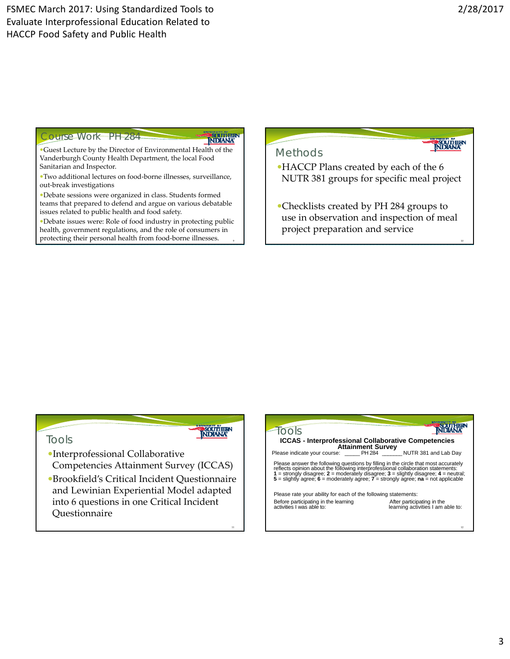NDIANA

#### Ourse Work PH 284

# NDIANA

**NDIANA** 

Guest Lecture by the Director of Environmental Health of the Vanderburgh County Health Department, the local Food Sanitarian and Inspector.

Two additional lectures on food‐borne illnesses, surveillance, out‐break investigations

Debate sessions were organized in class. Students formed teams that prepared to defend and argue on various debatable issues related to public health and food safety.

Debate issues were: Role of food industry in protecting public health, government regulations, and the role of consumers in protecting their personal health from food‐borne illnesses. 9

# Methods

HACCP Plans created by each of the 6 NUTR 381 groups for specific meal project

Checklists created by PH 284 groups to use in observation and inspection of meal project preparation and service

#### Tools

Interprofessional Collaborative Competencies Attainment Survey (ICCAS)

Brookfield's Critical Incident Questionnaire and Lewinian Experiential Model adapted into 6 questions in one Critical Incident Questionnaire

| <b>ICCAS - Interprofessional Collaborative Competencies</b><br><b>Attainment Survey</b>                                                                                                                                                                                                                                                                           |                                                                 |
|-------------------------------------------------------------------------------------------------------------------------------------------------------------------------------------------------------------------------------------------------------------------------------------------------------------------------------------------------------------------|-----------------------------------------------------------------|
| Please indicate your course: PH 284 NUTR 381 and Lab Day                                                                                                                                                                                                                                                                                                          |                                                                 |
| Please answer the following questions by filling in the circle that most accurately<br>reflects opinion about the following interprofessional collaboration statements:<br>1 = strongly disagree; $2$ = moderately disagree; $3$ = slightly disagree; $4$ = neutral;<br>$5$ = slightly agree; $6$ = moderately agree; $7$ = strongly agree; $na$ = not applicable |                                                                 |
| Please rate your ability for each of the following statements:                                                                                                                                                                                                                                                                                                    |                                                                 |
| Before participating in the learning<br>activities I was able to:                                                                                                                                                                                                                                                                                                 | After participating in the<br>learning activities I am able to: |
|                                                                                                                                                                                                                                                                                                                                                                   |                                                                 |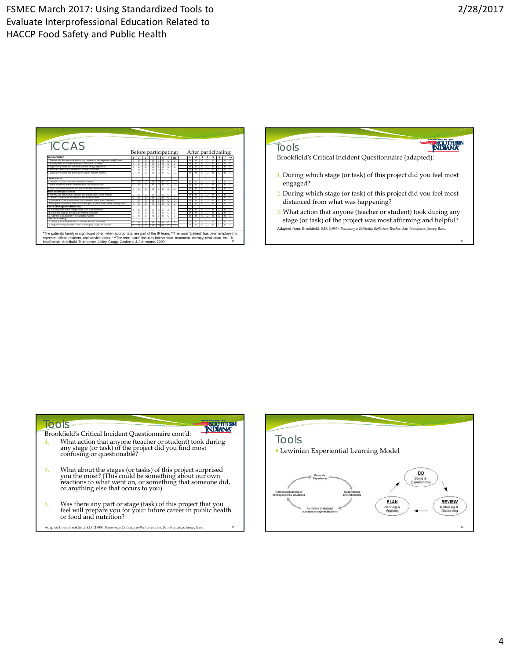| TCCAS                                                                                                                                                                                                                                                                               |                                                                                                                                                                                                                                                                                                                                                                                                                                                                                               |                                                                                                                                                                                                                                                                                                             | LOOLS                                                             |
|-------------------------------------------------------------------------------------------------------------------------------------------------------------------------------------------------------------------------------------------------------------------------------------|-----------------------------------------------------------------------------------------------------------------------------------------------------------------------------------------------------------------------------------------------------------------------------------------------------------------------------------------------------------------------------------------------------------------------------------------------------------------------------------------------|-------------------------------------------------------------------------------------------------------------------------------------------------------------------------------------------------------------------------------------------------------------------------------------------------------------|-------------------------------------------------------------------|
|                                                                                                                                                                                                                                                                                     | Before participating:                                                                                                                                                                                                                                                                                                                                                                                                                                                                         | After participating:                                                                                                                                                                                                                                                                                        |                                                                   |
| Communication<br>1 Promote effective communication among members of an interprofessional (IP) team<br>2 Actively listen to IP team members' ideas and concerns.<br>3. Express my ideas and concerns without being judgmental<br>4. Provide constructive feedback to IP team members | $12$ 3 4 5 6 7 ma<br>totolololo<br>ा०<br>$\sqrt{2}$<br>$\circ$ $\circ$ $\circ$ $\circ$ $\circ$ $\circ$<br>$\circ$ lolololo<br>$\circ$ $\circ$<br>$\sqrt{2}$<br>lolololo<br>$\Omega$                                                                                                                                                                                                                                                                                                           | $1 \mid 2 \mid 3 \mid 4 \mid 5 \mid 6 \mid 7 \mid na$<br>lolololololol<br>$\overline{\circ}$ $\overline{\circ}$ $\overline{\circ}$ $\overline{\circ}$ $\overline{\circ}$ $\overline{\circ}$ $\overline{\circ}$ $\overline{\circ}$<br>0 0 0 0 0 0 0 0 0<br>$\circ \circ \circ \circ \circ \circ \circ \circ$ | Brookfield's Critical Incident Ouestionnaire (adapted):           |
| 5. Express my ideas and concerns in a dear, concise manner                                                                                                                                                                                                                          | $\circ$ $\circ$ $\circ$ $\circ$ $\circ$ $\circ$ $\circ$<br>$\overline{\circ}$ $\overline{\circ}$                                                                                                                                                                                                                                                                                                                                                                                              | $\overline{\circ}$ $\overline{\circ}$ $\overline{\circ}$ $\overline{\circ}$ $\overline{\circ}$ $\overline{\circ}$ $\overline{\circ}$                                                                                                                                                                        |                                                                   |
|                                                                                                                                                                                                                                                                                     |                                                                                                                                                                                                                                                                                                                                                                                                                                                                                               |                                                                                                                                                                                                                                                                                                             | 1. During which stage (or task) of this project did you feel most |
| Collaboration                                                                                                                                                                                                                                                                       |                                                                                                                                                                                                                                                                                                                                                                                                                                                                                               |                                                                                                                                                                                                                                                                                                             |                                                                   |
| Spok out IP toam mombers to address issues                                                                                                                                                                                                                                          | $\circ$ lololololo<br>ा०                                                                                                                                                                                                                                                                                                                                                                                                                                                                      | 0 0 0 0 0 0 0                                                                                                                                                                                                                                                                                               | engaged?                                                          |
| 7. Work effectively with IP team members to enhance care                                                                                                                                                                                                                            | 1000000000                                                                                                                                                                                                                                                                                                                                                                                                                                                                                    | ाल<br>$\overline{\circ}$ $\overline{\circ}$                                                                                                                                                                                                                                                                 |                                                                   |
| 8. Learn with, from and about IP team members to enhance care                                                                                                                                                                                                                       | 0 000000<br>гот о                                                                                                                                                                                                                                                                                                                                                                                                                                                                             | 0 0 0 0 0 0 0                                                                                                                                                                                                                                                                                               |                                                                   |
| <b>Roles and Responsibilities</b>                                                                                                                                                                                                                                                   |                                                                                                                                                                                                                                                                                                                                                                                                                                                                                               |                                                                                                                                                                                                                                                                                                             |                                                                   |
| 9. Identify and describe my abilities and contributions to the IP team                                                                                                                                                                                                              | lololololo<br>$\sqrt{2}$                                                                                                                                                                                                                                                                                                                                                                                                                                                                      | $\overline{\circ}$ $\overline{\circ}$ $\overline{\circ}$ $\overline{\circ}$ $\overline{\circ}$ $\overline{\circ}$ $\overline{\circ}$ $\overline{\circ}$ $\overline{\circ}$                                                                                                                                  | 2. During which stage (or task) of this project did you feel most |
| 10 Be accountable for my contributions to the IP team                                                                                                                                                                                                                               | lololololololo                                                                                                                                                                                                                                                                                                                                                                                                                                                                                | $\circ \circ \circ \circ \circ \circ \circ$                                                                                                                                                                                                                                                                 |                                                                   |
| 11. Understand the abilities and contributions of the IP team members                                                                                                                                                                                                               | $\overline{\phantom{a}}$ $\overline{\phantom{a}}$ $\overline{\phantom{a}}$ $\overline{\phantom{a}}$ $\overline{\phantom{a}}$ $\overline{\phantom{a}}$ $\overline{\phantom{a}}$ $\overline{\phantom{a}}$ $\overline{\phantom{a}}$ $\overline{\phantom{a}}$ $\overline{\phantom{a}}$ $\overline{\phantom{a}}$ $\overline{\phantom{a}}$ $\overline{\phantom{a}}$ $\overline{\phantom{a}}$ $\overline{\phantom{a}}$ $\overline{\phantom{a}}$ $\overline{\phantom{a}}$ $\overline{\$<br>$\sqrt{2}$ | lolololololo                                                                                                                                                                                                                                                                                                | distanced from what was happening?                                |
| 12 Recognize how others' skills and knowledge compliment and overlap with my own                                                                                                                                                                                                    | $\circ$ $\circ$ $\circ$ $\circ$ $\circ$ $\circ$ $\circ$<br>000                                                                                                                                                                                                                                                                                                                                                                                                                                | lolololololo                                                                                                                                                                                                                                                                                                |                                                                   |
| Conflict Management/Resolution                                                                                                                                                                                                                                                      |                                                                                                                                                                                                                                                                                                                                                                                                                                                                                               |                                                                                                                                                                                                                                                                                                             |                                                                   |
| 13. Actively listen to the perspectives of IP team members                                                                                                                                                                                                                          | totolololo<br>ा०                                                                                                                                                                                                                                                                                                                                                                                                                                                                              | $\circ \circ \circ \circ \circ \circ \circ$                                                                                                                                                                                                                                                                 |                                                                   |
| 14. Take into account the ideas of IP team members                                                                                                                                                                                                                                  | [0]0]01010101010                                                                                                                                                                                                                                                                                                                                                                                                                                                                              | lololololo                                                                                                                                                                                                                                                                                                  | 3. What action that anyone (teacher or student) took during any   |
| 15. Address team conflict in a respectful manner                                                                                                                                                                                                                                    | 0 0 0 0 0 0 0 0 0                                                                                                                                                                                                                                                                                                                                                                                                                                                                             | 0 0 0 0 0 0 0                                                                                                                                                                                                                                                                                               |                                                                   |
| Team Functioning                                                                                                                                                                                                                                                                    |                                                                                                                                                                                                                                                                                                                                                                                                                                                                                               |                                                                                                                                                                                                                                                                                                             | stage (or task) of the project was most affirming and helpful?    |
|                                                                                                                                                                                                                                                                                     | <u>Iotolololo</u><br>ा०                                                                                                                                                                                                                                                                                                                                                                                                                                                                       | 0 0 0 0 0 0 0 0                                                                                                                                                                                                                                                                                             |                                                                   |
| 16. Develop an effective care*** plan with IP team members<br>17. Negotiate responsibilities within overlapping scopes of practice                                                                                                                                                  | lololololololo                                                                                                                                                                                                                                                                                                                                                                                                                                                                                | $\overline{\circ}$ $\overline{\circ}$ $\overline{\circ}$ $\overline{\circ}$ $\overline{\circ}$ $\overline{\circ}$ $\overline{\circ}$ $\overline{\circ}$                                                                                                                                                     |                                                                   |

| 4. | Brookfield's Critical Incident Ouestionnaire cont'd:<br>What action that anyone (teacher or student) took during<br>any stage (or task) of the project did you find most<br>confusing or questionable?                   | $\bullet$ Lewi |
|----|--------------------------------------------------------------------------------------------------------------------------------------------------------------------------------------------------------------------------|----------------|
| 5. | What about the stages (or tasks) of this project surprised<br>you the most? (This could be something about our own<br>reactions to what went on, or something that someone did,<br>or anything else that occurs to you). |                |
| 6. | Was there any part or stage (task) of this project that you<br>feel will prepare you for your future career in public health<br>or food and nutrition?                                                                   |                |
|    | Adapted from: Brookfield, S.D. (1995). Becoming a Critically Reflective Teacher. San Francisco: Jossey Bass.<br>15                                                                                                       |                |
|    |                                                                                                                                                                                                                          |                |

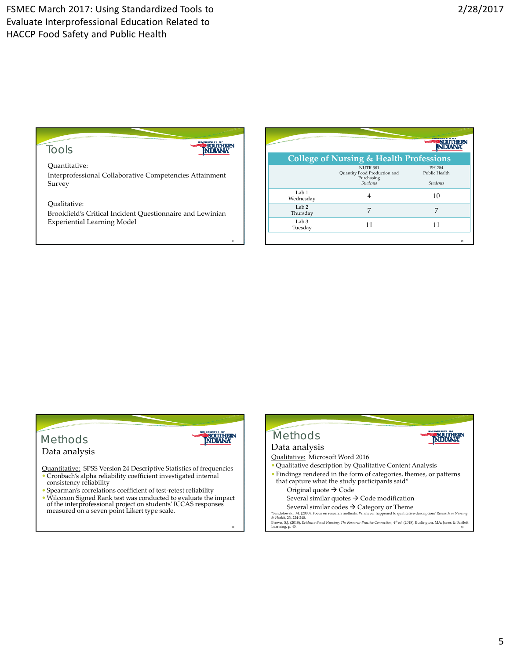

19

**NDIANA** 

Tools

Quantitative: Interprofessional Collaborative Competencies Attainment Survey

Qualitative:

Brookfield's Critical Incident Questionnaire and Lewinian Experiential Learning Model

|                              | <b>College of Nursing &amp; Health Professions</b>                               |                                            |
|------------------------------|----------------------------------------------------------------------------------|--------------------------------------------|
|                              | <b>NUTR 381</b><br>Quantity Food Production and<br>Purchasing<br><b>Students</b> | PH 284<br>Public Health<br><b>Students</b> |
| Lab 1<br>Wednesday           |                                                                                  | 10                                         |
| Lab <sub>2</sub><br>Thursday | 7                                                                                | 7                                          |
| $L$ ab 3<br>Tuesday          | 11                                                                               | 11                                         |
|                              |                                                                                  | 18                                         |



#### Data analysis

Quantitative: SPSS Version 24 Descriptive Statistics of frequencies Cronbach's alpha reliability coefficient investigated internal

- consistency reliability Spearman's correlations coefficient of test‐retest reliability
- Wilcoxon Signed Rank test was conducted to evaluate the impact of the interprofessional project on students'ICCAS responses measured on <sup>a</sup> seven point Likert type scale.

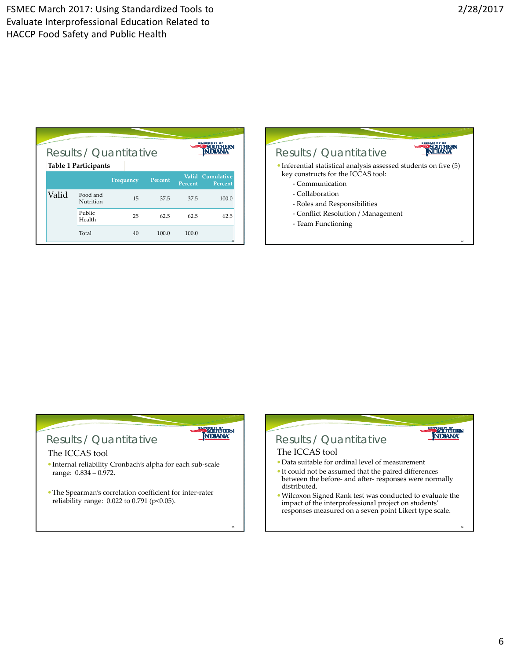| Results / Quantitative<br><b>Table 1 Participants</b> |                       |           |         |         |                             |  |
|-------------------------------------------------------|-----------------------|-----------|---------|---------|-----------------------------|--|
|                                                       |                       | Frequency | Percent | Percent | Valid Cumulative<br>Percent |  |
| Valid                                                 | Food and<br>Nutrition | 15        | 37.5    | 37.5    | 100.0                       |  |
|                                                       | Public<br>Health      | 25        | 62.5    | 62.5    | 62.5                        |  |
|                                                       | Total                 | 40        | 100.0   | 100.0   | 21                          |  |



## Results / Quantitative

#### The ICCAS tool

 Internal reliability Cronbach's alpha for each sub‐scale range: 0.834 – 0.972.

**SOUTHERN** 

The Spearman's correlation coefficient for inter‐rater reliability range: 0.022 to 0.791 (p<0.05).

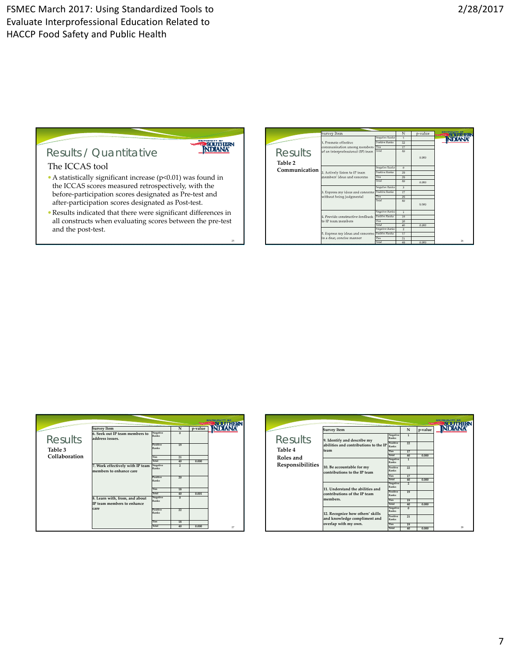

## The ICCAS tool Results / Quantitative

- A statistically significant increase (p<0.01) was found in the ICCAS scores measured retrospectively, with the before‐participation scores designated as Pre‐test and after‐participation scores designated as Post‐test.
- Results indicated that there were significant differences in all constructs when evaluating scores between the pre‐test and the post‐test.

|               | Survey Item                       |                       | N              | p-value | <b>NEW YORK GATER REA</b> |
|---------------|-----------------------------------|-----------------------|----------------|---------|---------------------------|
|               |                                   | Negative Ranks        | $\overline{1}$ |         |                           |
|               | 1. Promote effective              | Positive Ranks        | 22             |         |                           |
|               | communication among members Ties  |                       | 17             |         |                           |
| Results       | of an interprofessional (IP) team | Total                 | 40             |         |                           |
|               |                                   |                       |                | 0.000   |                           |
| Table 2       |                                   |                       |                |         |                           |
|               |                                   | Negative Ranks        | 0              |         |                           |
| Communication | 2. Actively listen to IP team     | Positive Ranks        | 20             |         |                           |
|               | members' ideas and concerns       | Ties                  | 20             |         |                           |
|               |                                   | Total                 | 40             | 0.000   |                           |
|               |                                   | Negative Ranks        | $\overline{3}$ |         |                           |
|               | 3. Express my ideas and concerns  | <b>Positive Ranks</b> | 17             |         |                           |
|               | without being judgmental          | Ties                  | 20             |         |                           |
|               |                                   | Total                 | 40             |         |                           |
|               |                                   |                       |                | 0.000   |                           |
|               |                                   | Negative Ranks        | 3              |         |                           |
|               | 4. Provide constructive feedback  | Positive Ranks        | 19             |         |                           |
|               | to IP team members                | Ties                  | 20             |         |                           |
|               |                                   | Total                 | 40             | 0.000   |                           |
|               |                                   | Negative Ranks        | $\overline{2}$ |         |                           |
|               | 5. Express my ideas and concerns  | Positive Ranks        | 17             |         |                           |
|               | in a dear, concise manner         | Ties<br>Total         | 21             |         | 26                        |
|               |                                   |                       | 40             | 0.000   |                           |

|                |                                                              |                   |                |         | <b>BOOKS PTS DOMESTIC</b> |
|----------------|--------------------------------------------------------------|-------------------|----------------|---------|---------------------------|
|                | <b>Survey Item</b>                                           |                   | N              | p-value |                           |
| <b>Results</b> | 6. Seek out IP team members to<br>address issues.            | Negative<br>Ranks | $\Omega$       |         |                           |
| Table 3        |                                                              | Positive<br>Ranks | 19             |         |                           |
| Collaboration  |                                                              | Ties              | 21             |         |                           |
|                |                                                              | Total             | 40             | 0.000   |                           |
|                | 7. Work effectively with IP team<br>members to enhance care  | Negative<br>Ranks | $\overline{2}$ |         |                           |
|                |                                                              | Positive<br>Ranks | 20             |         |                           |
|                |                                                              | Ties              | 18             |         |                           |
|                |                                                              | Total             | 40             | 0.001   |                           |
|                | 8. Learn with, from, and about<br>IP team members to enhance | Negative<br>Ranks | $\overline{0}$ |         |                           |
|                | care                                                         | Positive<br>Ranks | 22             |         |                           |
|                |                                                              | Ties              | 18             |         |                           |
|                |                                                              | Total             | 40             | 0.000   | $\overline{2}$            |

|                                                     | <b>Survey Item</b>                                                                       |                                                                | N                                                      | p-value | <b>NEWS CONTRACTOR</b> PERC |
|-----------------------------------------------------|------------------------------------------------------------------------------------------|----------------------------------------------------------------|--------------------------------------------------------|---------|-----------------------------|
| Results<br>Table 4<br>Roles and<br>Responsibilities | 9. Identify and describe my<br>abilities and contributions to the IP<br>team             | Negative<br>Ranks<br>Positive<br>Ranks<br><b>Ties</b><br>Total | $\mathbf{1}$<br>22<br>17<br>40                         | 0.000   |                             |
|                                                     | 10. Be accountable for my<br>contributions to the IP team                                | Negative<br>Ranks<br>Positive<br>Ranks<br><b>Ties</b><br>Total | $\overline{1}$<br>$\overline{\mathcal{D}}$<br>17<br>40 | 0.000   |                             |
|                                                     | 11. Understand the abilities and<br>contributions of the IP team<br>members.             | Negative<br>Ranks<br>Positive<br>Ranks<br><b>Ties</b><br>Total | $\overline{2}$<br>19<br>19<br>40                       | 0.000   |                             |
|                                                     | 12. Recognize how others' skills<br>and knowledge compliment and<br>overlap with my own. | Negative<br>Ranks<br>Positive<br>Ranks<br>Ties<br>Total        | $\Omega$<br>21<br>19<br>40                             | 0.000   | 28                          |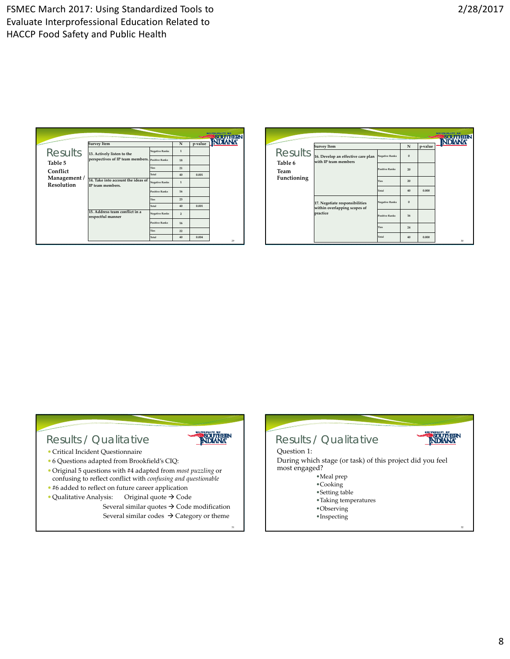|                                   | <b>Survey Item</b>                                     |                       | N              | p-value |    |
|-----------------------------------|--------------------------------------------------------|-----------------------|----------------|---------|----|
| <b>Results</b>                    | 13. Actively listen to the                             | <b>Negative Ranks</b> | $\mathbf{1}$   |         |    |
| Table 5                           | perspectives of IP team members. Positive Ranks        |                       | 18             |         |    |
| Conflict                          |                                                        | <b>Ties</b>           | 21             |         |    |
|                                   |                                                        | Total                 | 40             | 0.001   |    |
| Management /<br><b>Resolution</b> | 14. Take into account the ideas of<br>IP team members. | <b>Negative Ranks</b> | $\mathbf{1}$   |         |    |
|                                   |                                                        | <b>Positive Ranks</b> | 16             |         |    |
|                                   |                                                        | <b>Ties</b>           | 23             |         |    |
|                                   |                                                        | Total                 | 40             | 0.001   |    |
|                                   | 15. Address team conflict in a<br>respectful manner    | <b>Negative Ranks</b> | $\overline{2}$ |         |    |
|                                   |                                                        | <b>Positive Ranks</b> | 16             |         |    |
|                                   |                                                        | <b>Ties</b>           | 22             |         |    |
|                                   |                                                        | Total                 | 40             | 0.004   | 29 |

|                 |                                                                |                       |          |         | 精神主管医神经主教 西斯<br>ma |
|-----------------|----------------------------------------------------------------|-----------------------|----------|---------|--------------------|
|                 | <b>Survey Item</b>                                             |                       | N        | p-value |                    |
| <b>Results</b>  | 16. Develop an effective care plan<br>with IP team members     | <b>Negative Ranks</b> | $\bf{0}$ |         |                    |
| Table 6<br>Team |                                                                | <b>Positive Ranks</b> | 20       |         |                    |
| Functioning     |                                                                | <b>Ties</b>           | 20       |         |                    |
|                 |                                                                | Total                 | 40       | 0.000   |                    |
|                 | 17. Negotiate responsibilities<br>within overlapping scopes of | <b>Negative Ranks</b> | $\bf{0}$ |         |                    |
|                 | practice                                                       | <b>Positive Ranks</b> | 16       |         |                    |
|                 |                                                                | <b>Ties</b>           | 24       |         |                    |
|                 |                                                                | Total                 | 40       | 0.000   | 30                 |

## Results / Qualitative

- Critical Incident Questionnaire
- 6 Questions adapted from Brookfield's CIQ:
- Original 5 questions with #4 adapted from *most puzzling* or confusing to reflect conflict with *confusing and questionable*
- #6 added to reflect on future career application
- $\bullet$  Qualitative Analysis: Original quote  $\rightarrow$  Code Several similar quotes  $\rightarrow$  Code modification

Several similar codes  $\rightarrow$  Category or theme

31

**NDIANA** 

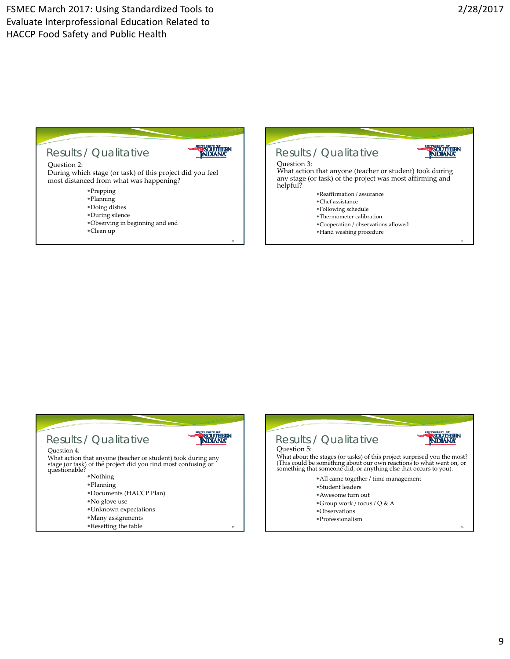36





- •Thermometer calibration
- •Cooperation / observations allowed
- •Hand washing procedure
- 

#### NDANA Results / Qualitative Question 4: What action that anyone (teacher or student) took during any stage (or task) of the project did you find most confusing or questionable? •Nothing •Planning •Documents (HACCP Plan) •No glove use •Unknown expectations •Many assignments

35

•Resetting the table